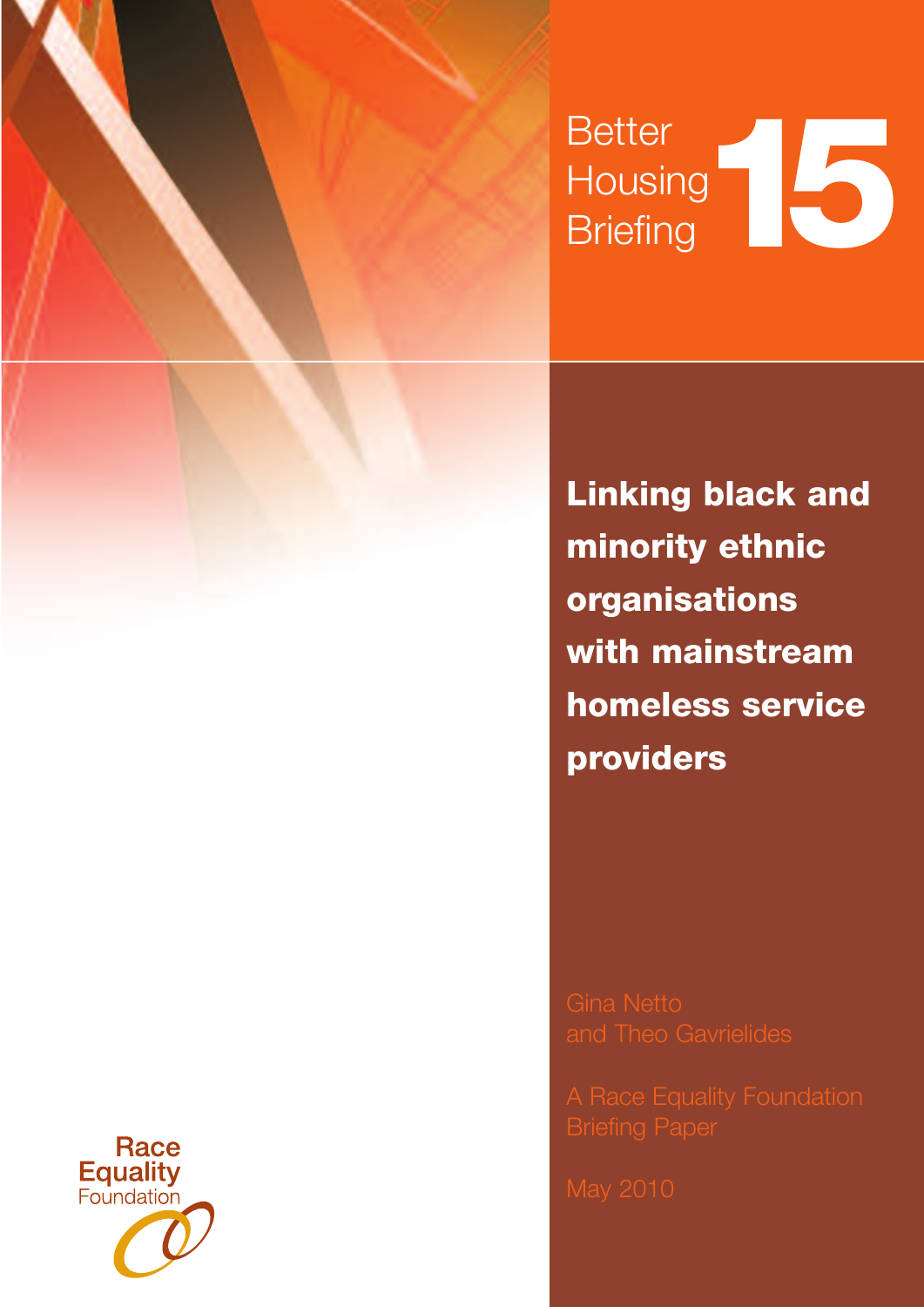# **Better Housing** Better<br>Housing<br>Briefing

**Linking black and minority ethnic organisations with mainstream homeless service providers**

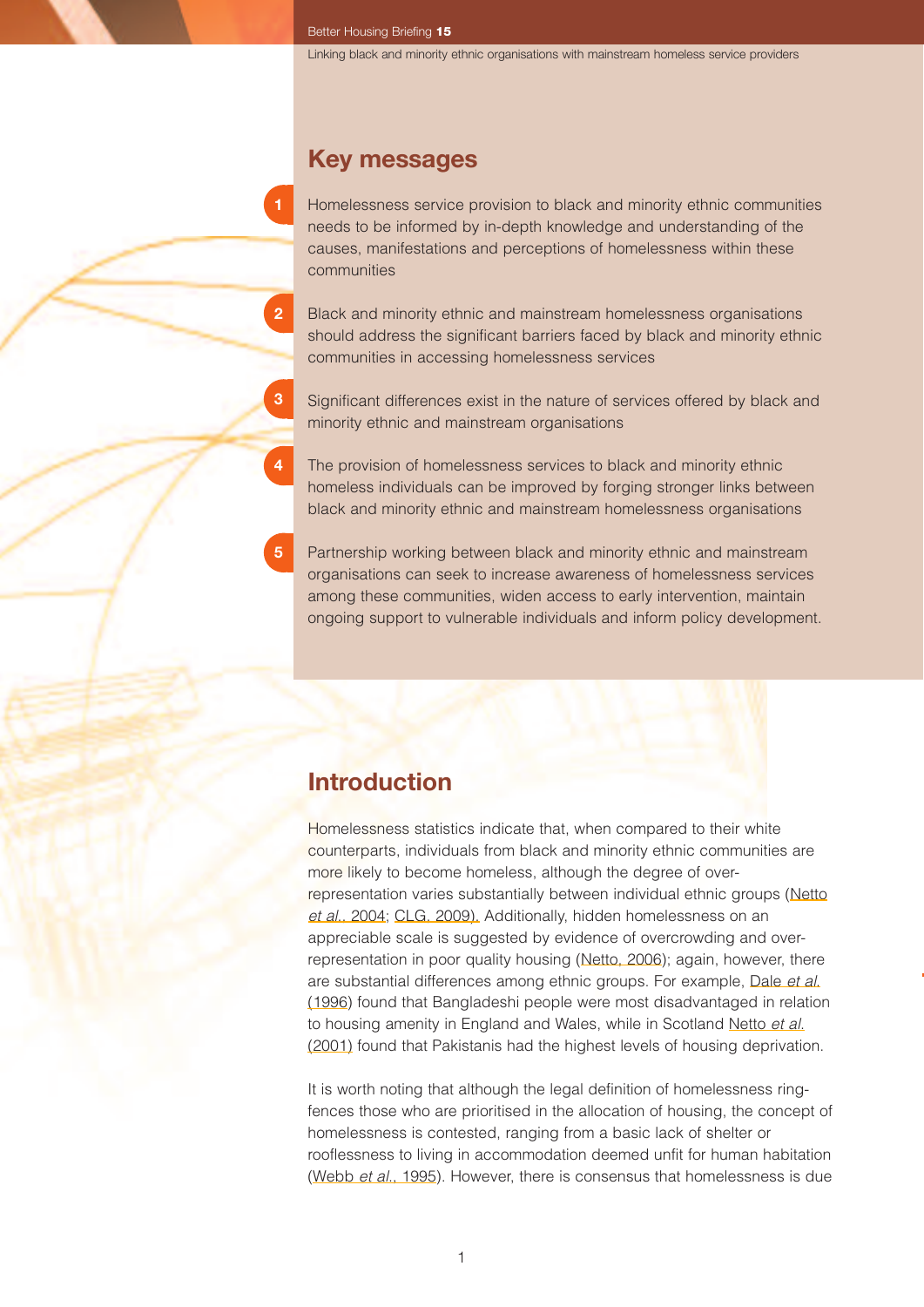## **Key messages**

Homelessness service provision to black and minority ethnic communities needs to be informed by in-depth knowledge and understanding of the causes, manifestations and perceptions of homelessness within these communities

- Black and minority ethnic and mainstream homelessness organisations should address the significant barriers faced by black and minority ethnic communities in accessing homelessness services
- Significant differences exist in the nature of services offered by black and minority ethnic and mainstream organisations
- The provision of homelessness services to black and minority ethnic homeless individuals can be improved by forging stronger links between black and minority ethnic and mainstream homelessness organisations
- Partnership working between black and minority ethnic and mainstream organisations can seek to increase awareness of homelessness services among these communities, widen access to early intervention, maintain ongoing support to vulnerable individuals and inform policy development.

## **Introduction**

**5**

**2**

**3**

**4**

Homelessness statistics indicate that, when compared to their white counterparts, individuals from black and minority ethnic communities are more likely to become homeless, although the degree of overrepresentation varies substantially between individual ethnic groups (Netto *et al*., 2004; CLG, 2009). Additionally, hidden homelessness on an appreciable scale is suggested by evidence of overcrowding and overrepresentation in poor quality housing (Netto, 2006); again, however, there are substantial differences among ethnic groups. For example, Dale *et al*. (1996) found that Bangladeshi people were most disadvantaged in relation to housing amenity in England and Wales, while in Scotland Netto *et al*. (2001) found that Pakistanis had the highest levels of housing deprivation.

It is worth noting that although the legal definition of homelessness ringfences those who are prioritised in the allocation of housing, the concept of homelessness is contested, ranging from a basic lack of shelter or rooflessness to living in accommodation deemed unfit for human habitation (Webb *et al*., 1995). However, there is consensus that homelessness is due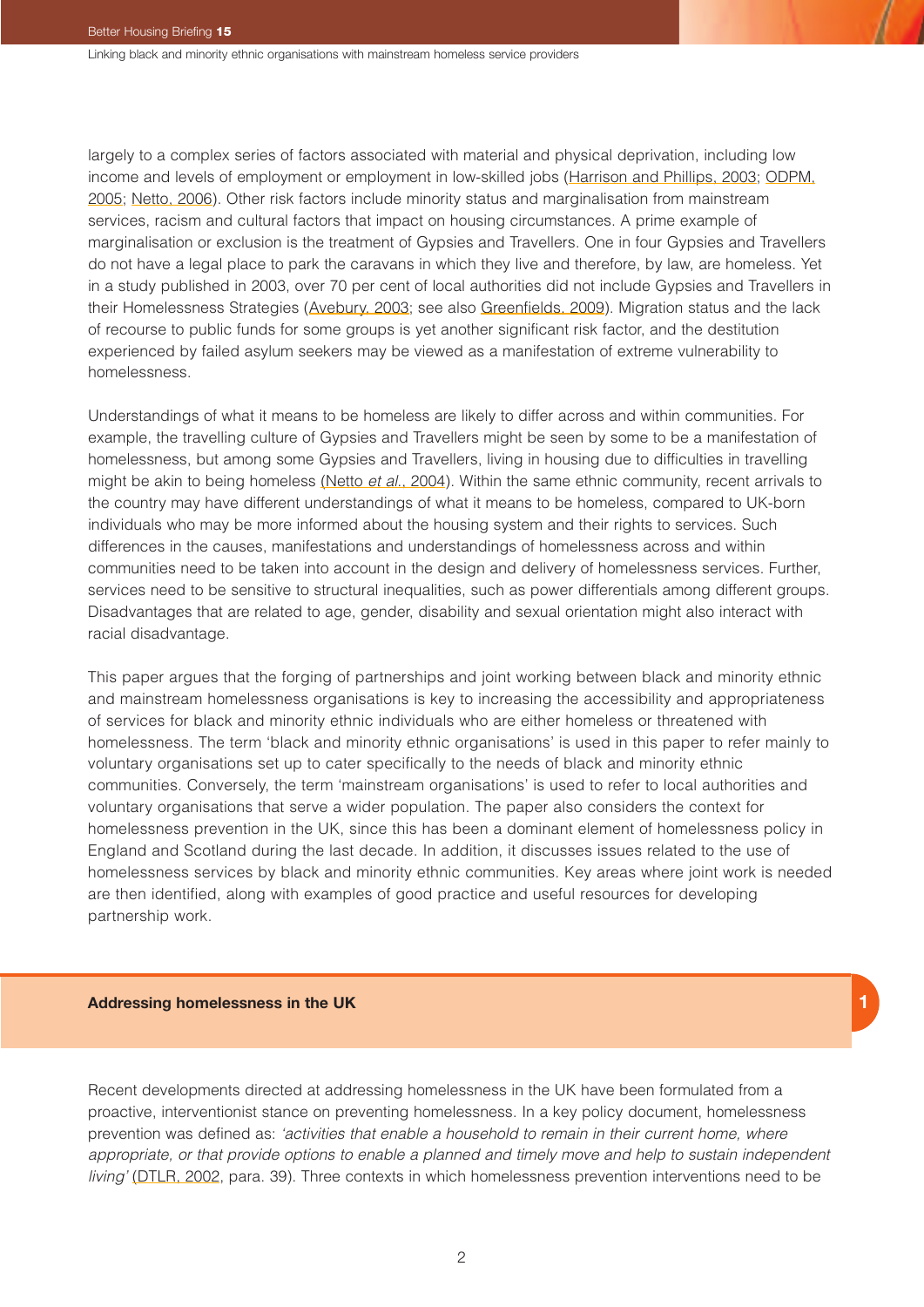largely to a complex series of factors associated with material and physical deprivation, including low income and levels of employment or employment in low-skilled jobs (Harrison and Phillips, 2003; ODPM, 2005; Netto, 2006). Other risk factors include minority status and marginalisation from mainstream services, racism and cultural factors that impact on housing circumstances. A prime example of marginalisation or exclusion is the treatment of Gypsies and Travellers. One in four Gypsies and Travellers do not have a legal place to park the caravans in which they live and therefore, by law, are homeless. Yet in a study published in 2003, over 70 per cent of local authorities did not include Gypsies and Travellers in their Homelessness Strategies (Avebury, 2003; see also Greenfields, 2009). Migration status and the lack of recourse to public funds for some groups is yet another significant risk factor, and the destitution experienced by failed asylum seekers may be viewed as a manifestation of extreme vulnerability to homelessness.

Understandings of what it means to be homeless are likely to differ across and within communities. For example, the travelling culture of Gypsies and Travellers might be seen by some to be a manifestation of homelessness, but among some Gypsies and Travellers, living in housing due to difficulties in travelling might be akin to being homeless (Netto *et al*., 2004). Within the same ethnic community, recent arrivals to the country may have different understandings of what it means to be homeless, compared to UK-born individuals who may be more informed about the housing system and their rights to services. Such differences in the causes, manifestations and understandings of homelessness across and within communities need to be taken into account in the design and delivery of homelessness services. Further, services need to be sensitive to structural inequalities, such as power differentials among different groups. Disadvantages that are related to age, gender, disability and sexual orientation might also interact with racial disadvantage.

This paper argues that the forging of partnerships and joint working between black and minority ethnic and mainstream homelessness organisations is key to increasing the accessibility and appropriateness of services for black and minority ethnic individuals who are either homeless or threatened with homelessness. The term 'black and minority ethnic organisations' is used in this paper to refer mainly to voluntary organisations set up to cater specifically to the needs of black and minority ethnic communities. Conversely, the term 'mainstream organisations' is used to refer to local authorities and voluntary organisations that serve a wider population. The paper also considers the context for homelessness prevention in the UK, since this has been a dominant element of homelessness policy in England and Scotland during the last decade. In addition, it discusses issues related to the use of homelessness services by black and minority ethnic communities. Key areas where joint work is needed are then identified, along with examples of good practice and useful resources for developing partnership work.

#### **Addressing homelessness in the UK**

Recent developments directed at addressing homelessness in the UK have been formulated from a proactive, interventionist stance on preventing homelessness. In a key policy document, homelessness prevention was defined as: *'activities that enable a household to remain in their current home, where appropriate, or that provide options to enable a planned and timely move and help to sustain independent living'* (DTLR, 2002, para. 39). Three contexts in which homelessness prevention interventions need to be

**1**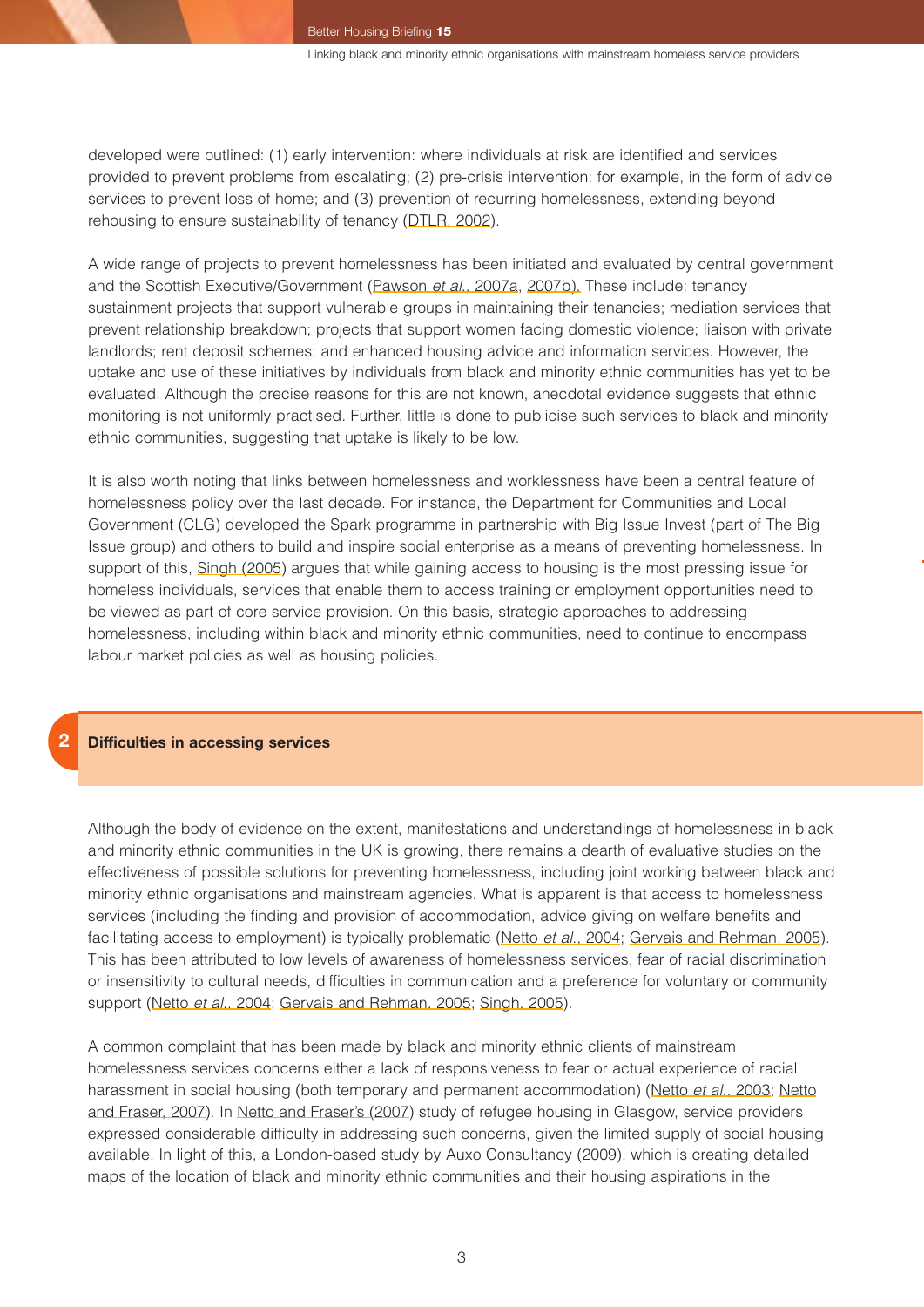developed were outlined: (1) early intervention: where individuals at risk are identified and services provided to prevent problems from escalating; (2) pre-crisis intervention: for example, in the form of advice services to prevent loss of home; and (3) prevention of recurring homelessness, extending beyond rehousing to ensure sustainability of tenancy (DTLR, 2002).

A wide range of projects to prevent homelessness has been initiated and evaluated by central government and the Scottish Executive/Government (Pawson *et al*., 2007a, 2007b). These include: tenancy sustainment projects that support vulnerable groups in maintaining their tenancies; mediation services that prevent relationship breakdown; projects that support women facing domestic violence; liaison with private landlords; rent deposit schemes; and enhanced housing advice and information services. However, the uptake and use of these initiatives by individuals from black and minority ethnic communities has yet to be evaluated. Although the precise reasons for this are not known, anecdotal evidence suggests that ethnic monitoring is not uniformly practised. Further, little is done to publicise such services to black and minority ethnic communities, suggesting that uptake is likely to be low.

It is also worth noting that links between homelessness and worklessness have been a central feature of homelessness policy over the last decade. For instance, the Department for Communities and Local Government (CLG) developed the Spark programme in partnership with Big Issue Invest (part of The Big Issue group) and others to build and inspire social enterprise as a means of preventing homelessness. In support of this, Singh (2005) argues that while gaining access to housing is the most pressing issue for homeless individuals, services that enable them to access training or employment opportunities need to be viewed as part of core service provision. On this basis, strategic approaches to addressing homelessness, including within black and minority ethnic communities, need to continue to encompass labour market policies as well as housing policies.

#### **2 Difficulties in accessing services**

Although the body of evidence on the extent, manifestations and understandings of homelessness in black and minority ethnic communities in the UK is growing, there remains a dearth of evaluative studies on the effectiveness of possible solutions for preventing homelessness, including joint working between black and minority ethnic organisations and mainstream agencies. What is apparent is that access to homelessness services (including the finding and provision of accommodation, advice giving on welfare benefits and facilitating access to employment) is typically problematic (Netto *et al*., 2004; Gervais and Rehman, 2005). This has been attributed to low levels of awareness of homelessness services, fear of racial discrimination or insensitivity to cultural needs, difficulties in communication and a preference for voluntary or community support (Netto *et al*., 2004; Gervais and Rehman, 2005; Singh, 2005).

A common complaint that has been made by black and minority ethnic clients of mainstream homelessness services concerns either a lack of responsiveness to fear or actual experience of racial harassment in social housing (both temporary and permanent accommodation) (Netto *et al*., 2003; Netto and Fraser, 2007). In Netto and Fraser's (2007) study of refugee housing in Glasgow, service providers expressed considerable difficulty in addressing such concerns, given the limited supply of social housing available. In light of this, a London-based study by Auxo Consultancy (2009), which is creating detailed maps of the location of black and minority ethnic communities and their housing aspirations in the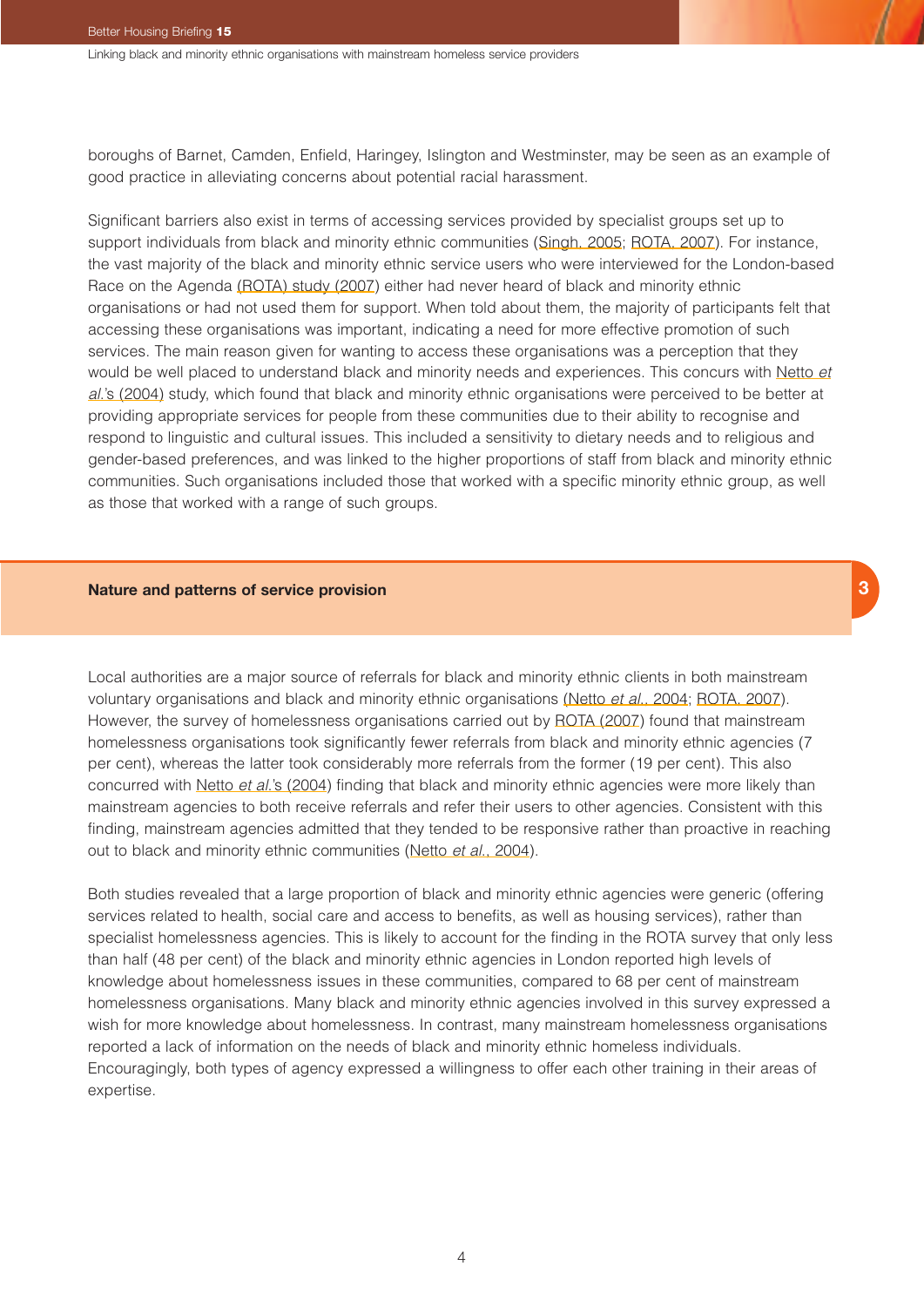boroughs of Barnet, Camden, Enfield, Haringey, Islington and Westminster, may be seen as an example of good practice in alleviating concerns about potential racial harassment.

Significant barriers also exist in terms of accessing services provided by specialist groups set up to support individuals from black and minority ethnic communities (Singh, 2005; ROTA, 2007). For instance, the vast majority of the black and minority ethnic service users who were interviewed for the London-based Race on the Agenda (ROTA) study (2007) either had never heard of black and minority ethnic organisations or had not used them for support. When told about them, the majority of participants felt that accessing these organisations was important, indicating a need for more effective promotion of such services. The main reason given for wanting to access these organisations was a perception that they would be well placed to understand black and minority needs and experiences. This concurs with Netto *et al*.'s (2004) study, which found that black and minority ethnic organisations were perceived to be better at providing appropriate services for people from these communities due to their ability to recognise and respond to linguistic and cultural issues. This included a sensitivity to dietary needs and to religious and gender-based preferences, and was linked to the higher proportions of staff from black and minority ethnic communities. Such organisations included those that worked with a specific minority ethnic group, as well as those that worked with a range of such groups.

#### **Nature and patterns of service provision**

Local authorities are a major source of referrals for black and minority ethnic clients in both mainstream voluntary organisations and black and minority ethnic organisations (Netto *et al*., 2004; ROTA, 2007). However, the survey of homelessness organisations carried out by ROTA (2007) found that mainstream homelessness organisations took significantly fewer referrals from black and minority ethnic agencies (7 per cent), whereas the latter took considerably more referrals from the former (19 per cent). This also concurred with Netto *et al*.'s (2004) finding that black and minority ethnic agencies were more likely than mainstream agencies to both receive referrals and refer their users to other agencies. Consistent with this finding, mainstream agencies admitted that they tended to be responsive rather than proactive in reaching out to black and minority ethnic communities (Netto *et al*., 2004).

Both studies revealed that a large proportion of black and minority ethnic agencies were generic (offering services related to health, social care and access to benefits, as well as housing services), rather than specialist homelessness agencies. This is likely to account for the finding in the ROTA survey that only less than half (48 per cent) of the black and minority ethnic agencies in London reported high levels of knowledge about homelessness issues in these communities, compared to 68 per cent of mainstream homelessness organisations. Many black and minority ethnic agencies involved in this survey expressed a wish for more knowledge about homelessness. In contrast, many mainstream homelessness organisations reported a lack of information on the needs of black and minority ethnic homeless individuals. Encouragingly, both types of agency expressed a willingness to offer each other training in their areas of expertise.

4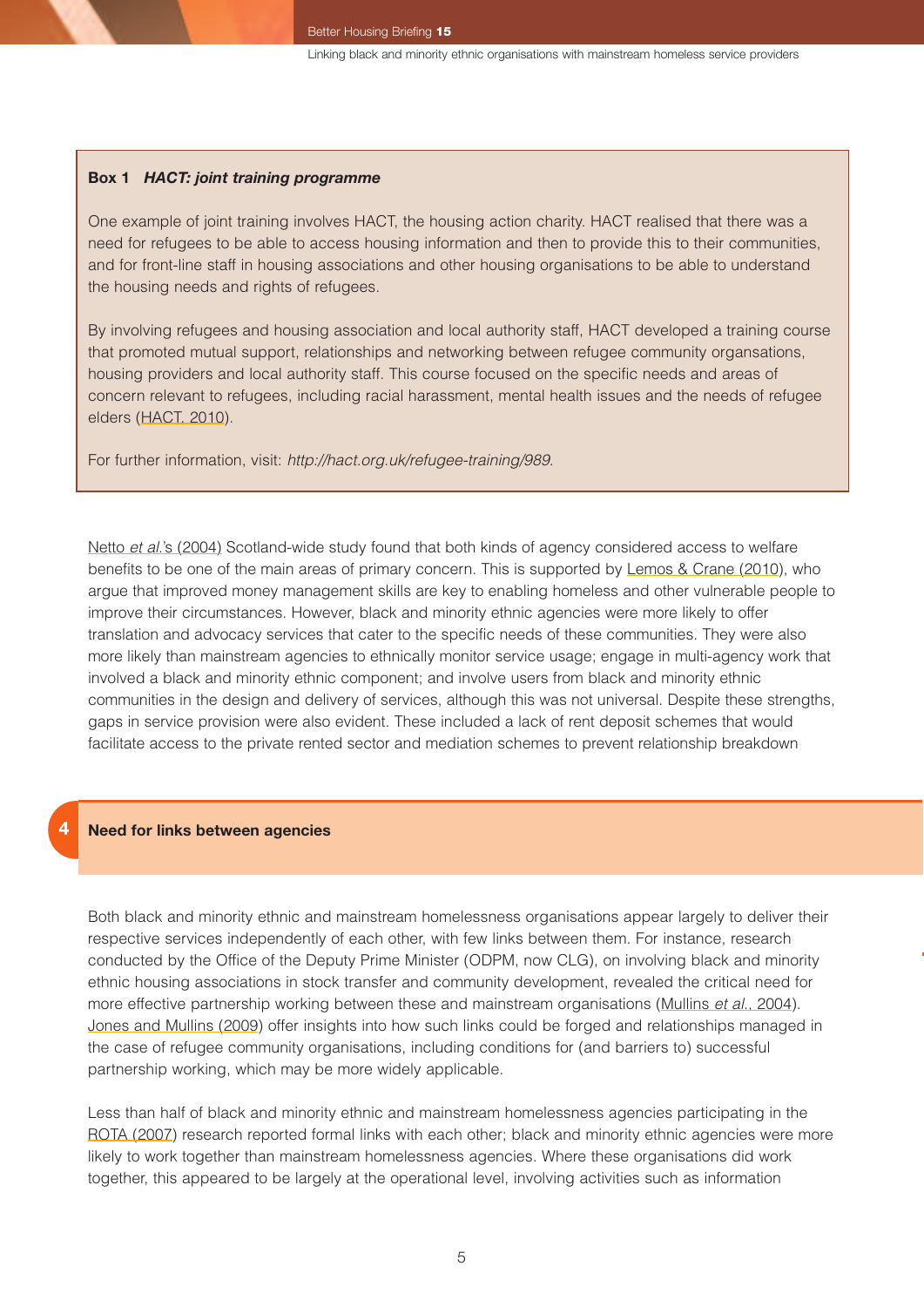#### **Box 1** *HACT: joint training programme*

One example of joint training involves HACT, the housing action charity. HACT realised that there was a need for refugees to be able to access housing information and then to provide this to their communities, and for front-line staff in housing associations and other housing organisations to be able to understand the housing needs and rights of refugees.

By involving refugees and housing association and local authority staff, HACT developed a training course that promoted mutual support, relationships and networking between refugee community organsations, housing providers and local authority staff. This course focused on the specific needs and areas of concern relevant to refugees, including racial harassment, mental health issues and the needs of refugee elders (HACT, 2010).

For further information, visit: *<http://hact.org.uk/refugee-training/989>*.

Netto *et al*.'s (2004) Scotland-wide study found that both kinds of agency considered access to welfare benefits to be one of the main areas of primary concern. This is supported by Lemos & Crane (2010), who argue that improved money management skills are key to enabling homeless and other vulnerable people to improve their circumstances. However, black and minority ethnic agencies were more likely to offer translation and advocacy services that cater to the specific needs of these communities. They were also more likely than mainstream agencies to ethnically monitor service usage; engage in multi-agency work that involved a black and minority ethnic component; and involve users from black and minority ethnic communities in the design and delivery of services, although this was not universal. Despite these strengths, gaps in service provision were also evident. These included a lack of rent deposit schemes that would facilitate access to the private rented sector and mediation schemes to prevent relationship breakdown

#### **Need for links between agencies**

**4**

Both black and minority ethnic and mainstream homelessness organisations appear largely to deliver their respective services independently of each other, with few links between them. For instance, research conducted by the Office of the Deputy Prime Minister (ODPM, now CLG), on involving black and minority ethnic housing associations in stock transfer and community development, revealed the critical need for more effective partnership working between these and mainstream organisations (Mullins *et al*., 2004). Jones and Mullins (2009) offer insights into how such links could be forged and relationships managed in the case of refugee community organisations, including conditions for (and barriers to) successful partnership working, which may be more widely applicable.

Less than half of black and minority ethnic and mainstream homelessness agencies participating in the ROTA (2007) research reported formal links with each other; black and minority ethnic agencies were more likely to work together than mainstream homelessness agencies. Where these organisations did work together, this appeared to be largely at the operational level, involving activities such as information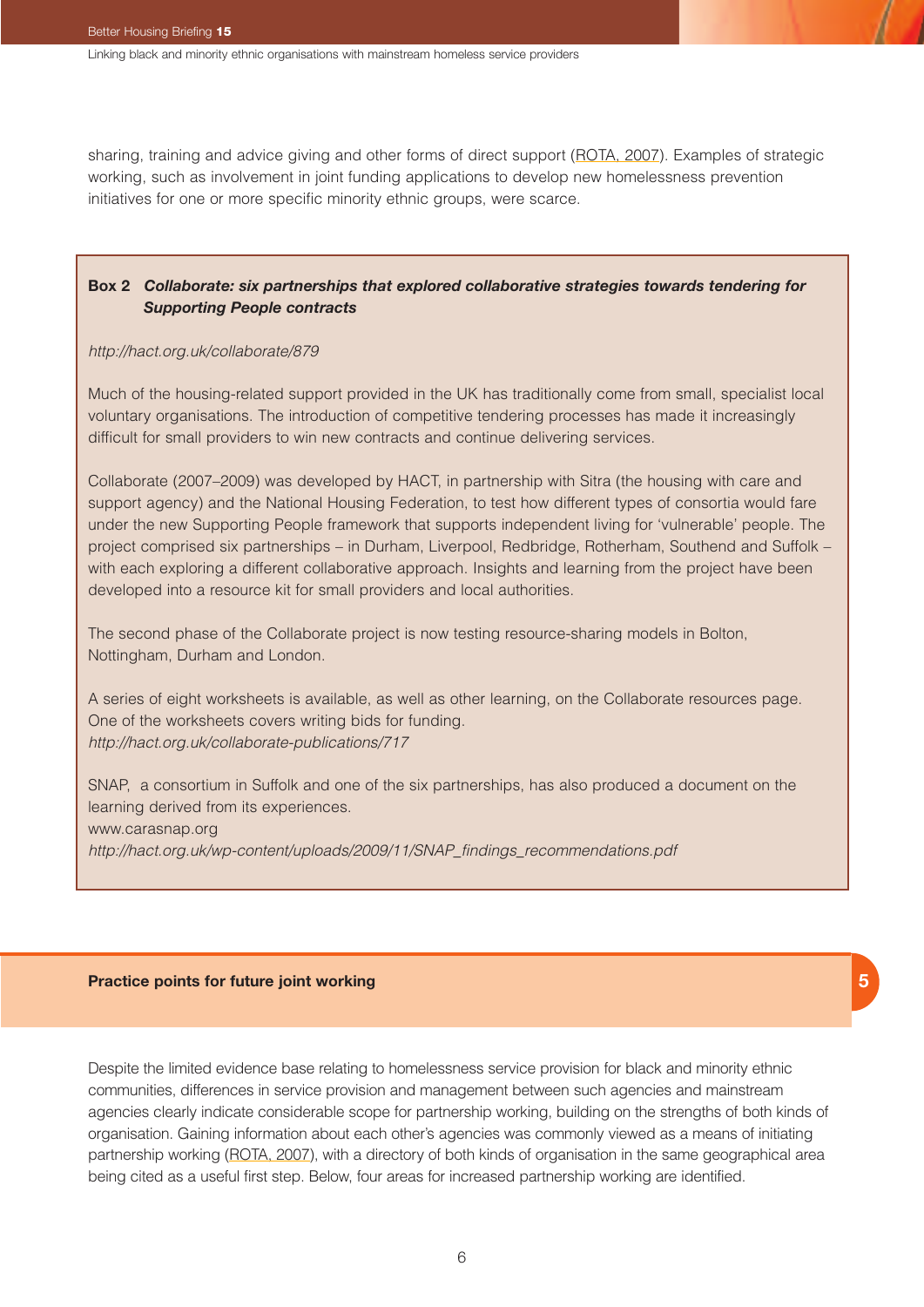sharing, training and advice giving and other forms of direct support (ROTA, 2007). Examples of strategic working, such as involvement in joint funding applications to develop new homelessness prevention initiatives for one or more specific minority ethnic groups, were scarce.

### **Box 2** *Collaborate: six partnerships that explored collaborative strategies towards tendering for Supporting People contracts*

#### *<http://hact.org.uk/collaborate/879>*

Much of the housing-related support provided in the UK has traditionally come from small, specialist local voluntary organisations. The introduction of competitive tendering processes has made it increasingly difficult for small providers to win new contracts and continue delivering services.

Collaborate (2007–2009) was developed by HACT, in partnership with Sitra (the housing with care and support agency) and the National Housing Federation, to test how different types of consortia would fare under the new Supporting People framework that supports independent living for 'vulnerable' people. The project comprised six partnerships – in Durham, Liverpool, Redbridge, Rotherham, Southend and Suffolk – with each exploring a different collaborative approach. Insights and learning from the project have been developed into a resource kit for small providers and local authorities.

The second phase of the Collaborate project is now testing resource-sharing models in Bolton, Nottingham, Durham and London.

A series of eight worksheets is available, as well as other learning, on the Collaborate resources page. One of the worksheets covers writing bids for funding. *<http://hact.org.uk/collaborate-publications/717>*

SNAP, a consortium in Suffolk and one of the six partnerships, has also produced a document on the learning derived from its experiences. www.carasnap.org *[http://hact.org.uk/wp-content/uploads/2009/11/SNAP\\_findings\\_recommendations.pdf](http://hact.org.uk/wp-content/uploads/2009/11/SNAP_findings_recommendations.pdf)*

#### **Practice points for future joint working**

Despite the limited evidence base relating to homelessness service provision for black and minority ethnic communities, differences in service provision and management between such agencies and mainstream agencies clearly indicate considerable scope for partnership working, building on the strengths of both kinds of organisation. Gaining information about each other's agencies was commonly viewed as a means of initiating partnership working (ROTA, 2007), with a directory of both kinds of organisation in the same geographical area being cited as a useful first step. Below, four areas for increased partnership working are identified.

**5**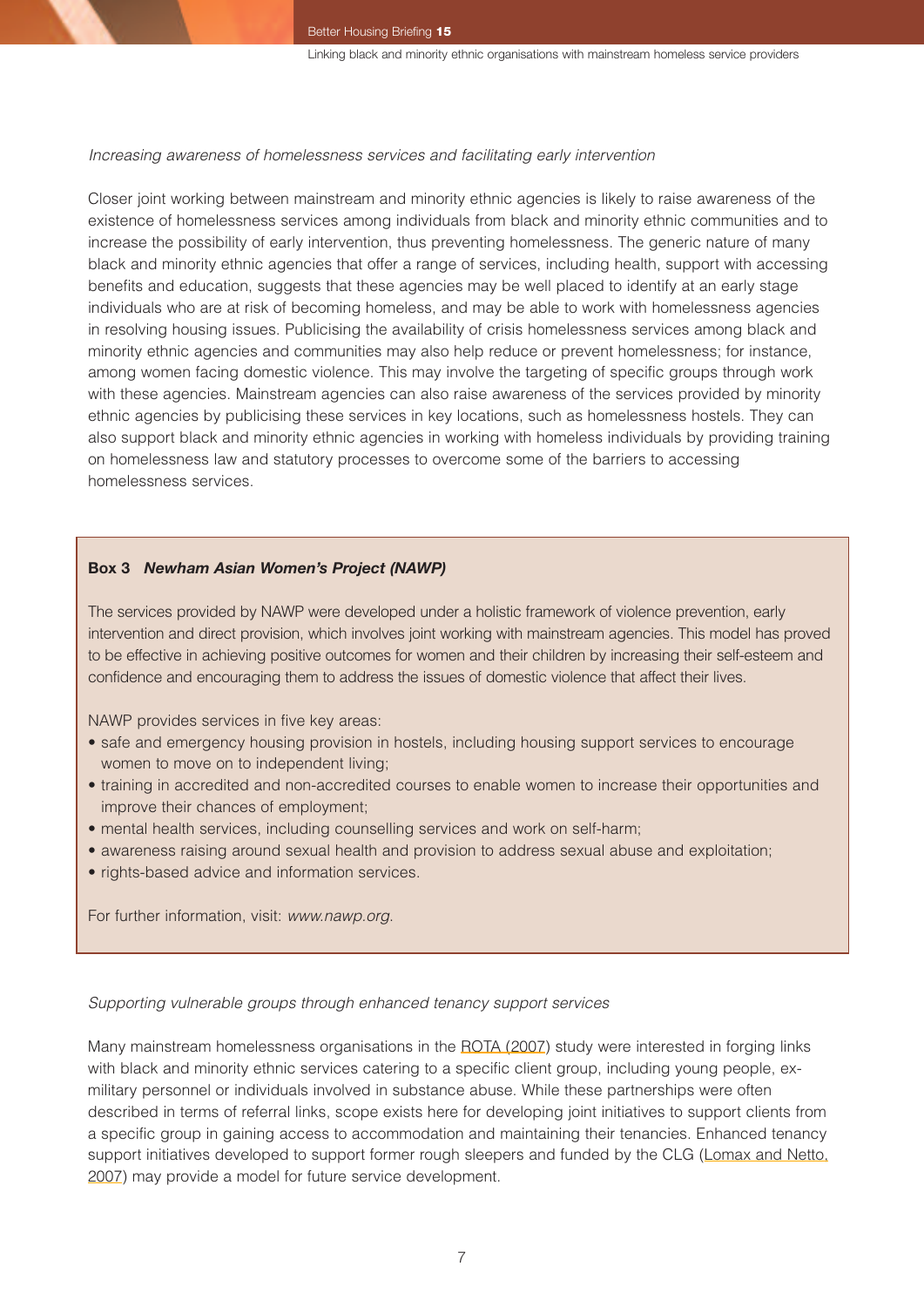#### *Increasing awareness of homelessness services and facilitating early intervention*

Closer joint working between mainstream and minority ethnic agencies is likely to raise awareness of the existence of homelessness services among individuals from black and minority ethnic communities and to increase the possibility of early intervention, thus preventing homelessness. The generic nature of many black and minority ethnic agencies that offer a range of services, including health, support with accessing benefits and education, suggests that these agencies may be well placed to identify at an early stage individuals who are at risk of becoming homeless, and may be able to work with homelessness agencies in resolving housing issues. Publicising the availability of crisis homelessness services among black and minority ethnic agencies and communities may also help reduce or prevent homelessness; for instance, among women facing domestic violence. This may involve the targeting of specific groups through work with these agencies. Mainstream agencies can also raise awareness of the services provided by minority ethnic agencies by publicising these services in key locations, such as homelessness hostels. They can also support black and minority ethnic agencies in working with homeless individuals by providing training on homelessness law and statutory processes to overcome some of the barriers to accessing homelessness services.

#### **Box 3** *Newham Asian Women's Project (NAWP)*

The services provided by NAWP were developed under a holistic framework of violence prevention, early intervention and direct provision, which involves joint working with mainstream agencies. This model has proved to be effective in achieving positive outcomes for women and their children by increasing their self-esteem and confidence and encouraging them to address the issues of domestic violence that affect their lives.

NAWP provides services in five key areas:

- safe and emergency housing provision in hostels, including housing support services to encourage women to move on to independent living;
- training in accredited and non-accredited courses to enable women to increase their opportunities and improve their chances of employment;
- mental health services, including counselling services and work on self-harm;
- awareness raising around sexual health and provision to address sexual abuse and exploitation;
- rights-based advice and information services.

For further information, visit: *[www.nawp.org](http://www.nawp.org)*.

*Supporting vulnerable groups through enhanced tenancy support services*

Many mainstream homelessness organisations in the ROTA (2007) study were interested in forging links with black and minority ethnic services catering to a specific client group, including young people, exmilitary personnel or individuals involved in substance abuse. While these partnerships were often described in terms of referral links, scope exists here for developing joint initiatives to support clients from a specific group in gaining access to accommodation and maintaining their tenancies. Enhanced tenancy support initiatives developed to support former rough sleepers and funded by the CLG (Lomax and Netto, 2007) may provide a model for future service development.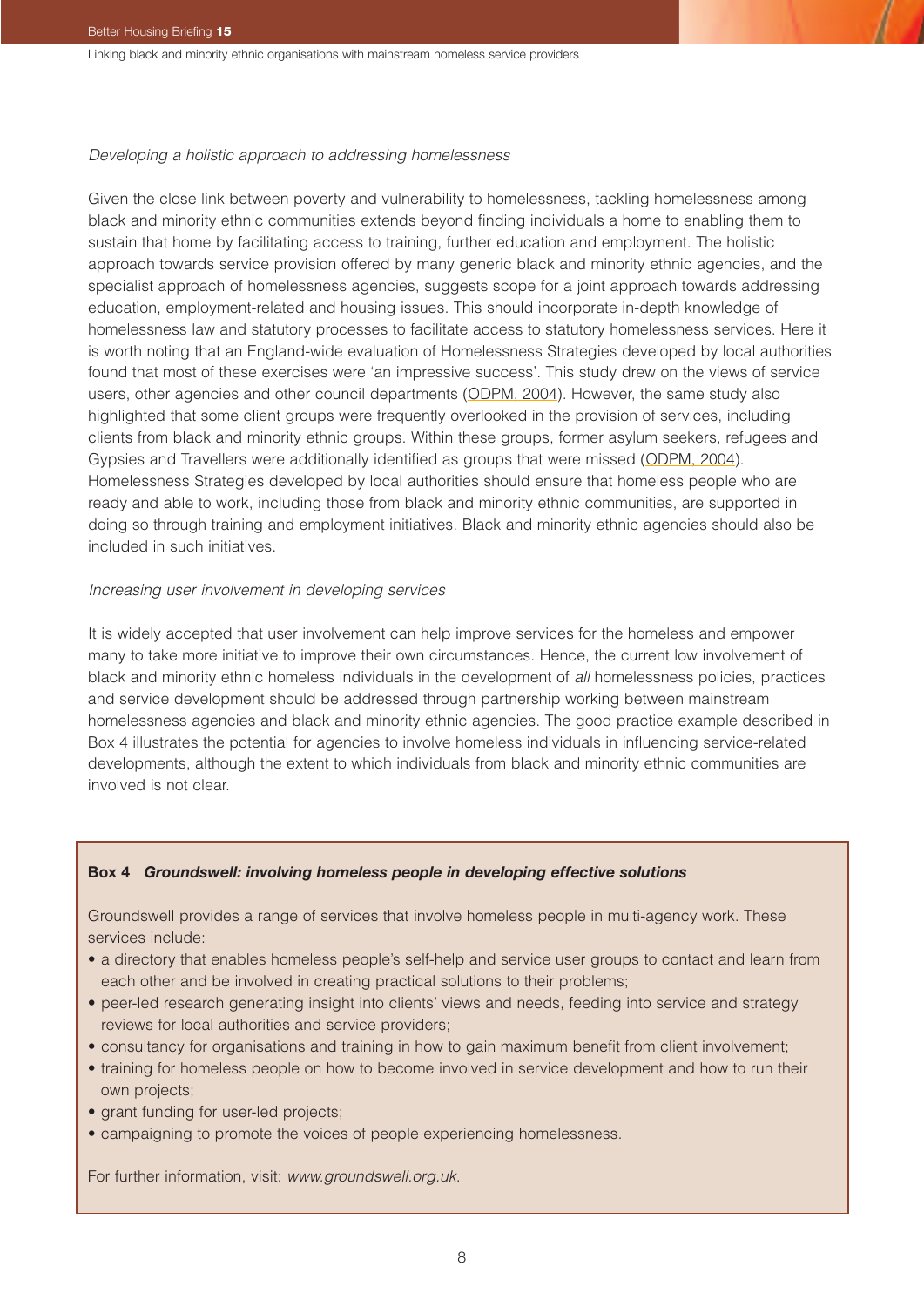#### *Developing a holistic approach to addressing homelessness*

Given the close link between poverty and vulnerability to homelessness, tackling homelessness among black and minority ethnic communities extends beyond finding individuals a home to enabling them to sustain that home by facilitating access to training, further education and employment. The holistic approach towards service provision offered by many generic black and minority ethnic agencies, and the specialist approach of homelessness agencies, suggests scope for a joint approach towards addressing education, employment-related and housing issues. This should incorporate in-depth knowledge of homelessness law and statutory processes to facilitate access to statutory homelessness services. Here it is worth noting that an England-wide evaluation of Homelessness Strategies developed by local authorities found that most of these exercises were 'an impressive success'. This study drew on the views of service users, other agencies and other council departments (ODPM, 2004). However, the same study also highlighted that some client groups were frequently overlooked in the provision of services, including clients from black and minority ethnic groups. Within these groups, former asylum seekers, refugees and Gypsies and Travellers were additionally identified as groups that were missed (ODPM, 2004). Homelessness Strategies developed by local authorities should ensure that homeless people who are ready and able to work, including those from black and minority ethnic communities, are supported in doing so through training and employment initiatives. Black and minority ethnic agencies should also be included in such initiatives.

#### *Increasing user involvement in developing services*

It is widely accepted that user involvement can help improve services for the homeless and empower many to take more initiative to improve their own circumstances. Hence, the current low involvement of black and minority ethnic homeless individuals in the development of *all* homelessness policies, practices and service development should be addressed through partnership working between mainstream homelessness agencies and black and minority ethnic agencies. The good practice example described in Box 4 illustrates the potential for agencies to involve homeless individuals in influencing service-related developments, although the extent to which individuals from black and minority ethnic communities are involved is not clear.

#### **Box 4** *Groundswell: involving homeless people in developing effective solutions*

Groundswell provides a range of services that involve homeless people in multi-agency work. These services include:

- a directory that enables homeless people's self-help and service user groups to contact and learn from each other and be involved in creating practical solutions to their problems;
- peer-led research generating insight into clients' views and needs, feeding into service and strategy reviews for local authorities and service providers;
- consultancy for organisations and training in how to gain maximum benefit from client involvement;
- training for homeless people on how to become involved in service development and how to run their own projects;
- grant funding for user-led projects;
- campaigning to promote the voices of people experiencing homelessness.

For further information, visit: *[www.groundswell.org.uk](http://www.groundswell.org.uk)*.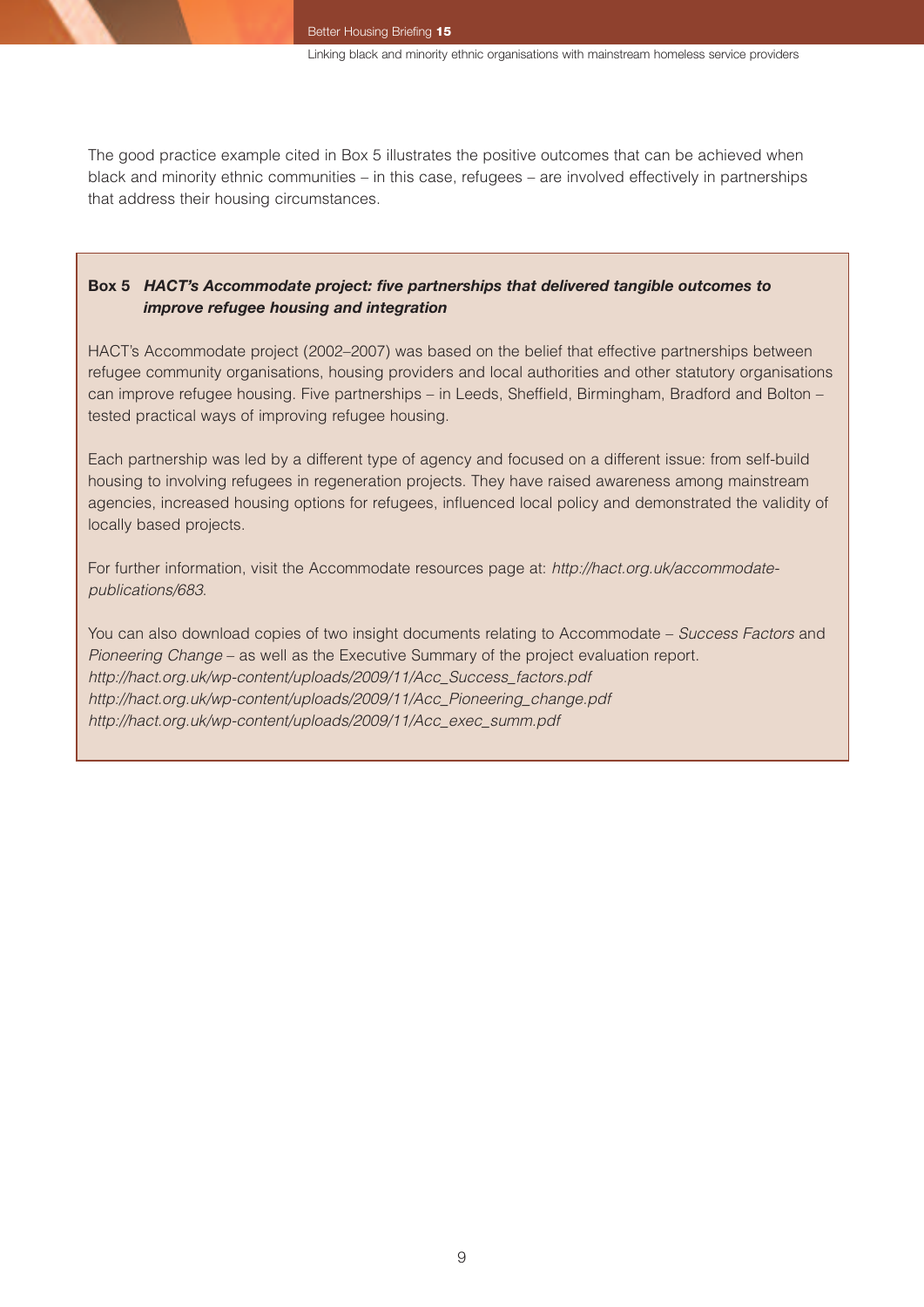The good practice example cited in Box 5 illustrates the positive outcomes that can be achieved when black and minority ethnic communities – in this case, refugees – are involved effectively in partnerships that address their housing circumstances.

#### **Box 5** *HACT's Accommodate project: five partnerships that delivered tangible outcomes to improve refugee housing and integration*

HACT's Accommodate project (2002–2007) was based on the belief that effective partnerships between refugee community organisations, housing providers and local authorities and other statutory organisations can improve refugee housing. Five partnerships – in Leeds, Sheffield, Birmingham, Bradford and Bolton – tested practical ways of improving refugee housing.

Each partnership was led by a different type of agency and focused on a different issue: from self-build housing to involving refugees in regeneration projects. They have raised awareness among mainstream agencies, increased housing options for refugees, influenced local policy and demonstrated the validity of locally based projects.

For further information, visit the Accommodate resources page at: *[http://hact.org.uk/accommodate](http://hact.org.uk/accommodate-publications/683)[publications/683](http://hact.org.uk/accommodate-publications/683)*.

You can also download copies of two insight documents relating to Accommodate – *Success Factors* and *Pioneering Change* – as well as the Executive Summary of the project evaluation report. *[http://hact.org.uk/wp-content/uploads/2009/11/Acc\\_Success\\_factors.pdf](http://hact.org.uk/wp-content/uploads/2009/11/Acc_Success_factors.pdf) [http://hact.org.uk/wp-content/uploads/2009/11/Acc\\_Pioneering\\_change.pdf](http://hact.org.uk/wp-content/uploads/2009/11/Acc_Pioneering_change.pdf) [http://hact.org.uk/wp-content/uploads/2009/11/Acc\\_exec\\_summ.pdf](http://hact.org.uk/wp-content/uploads/2009/11/Acc_exec_summ.pdf)*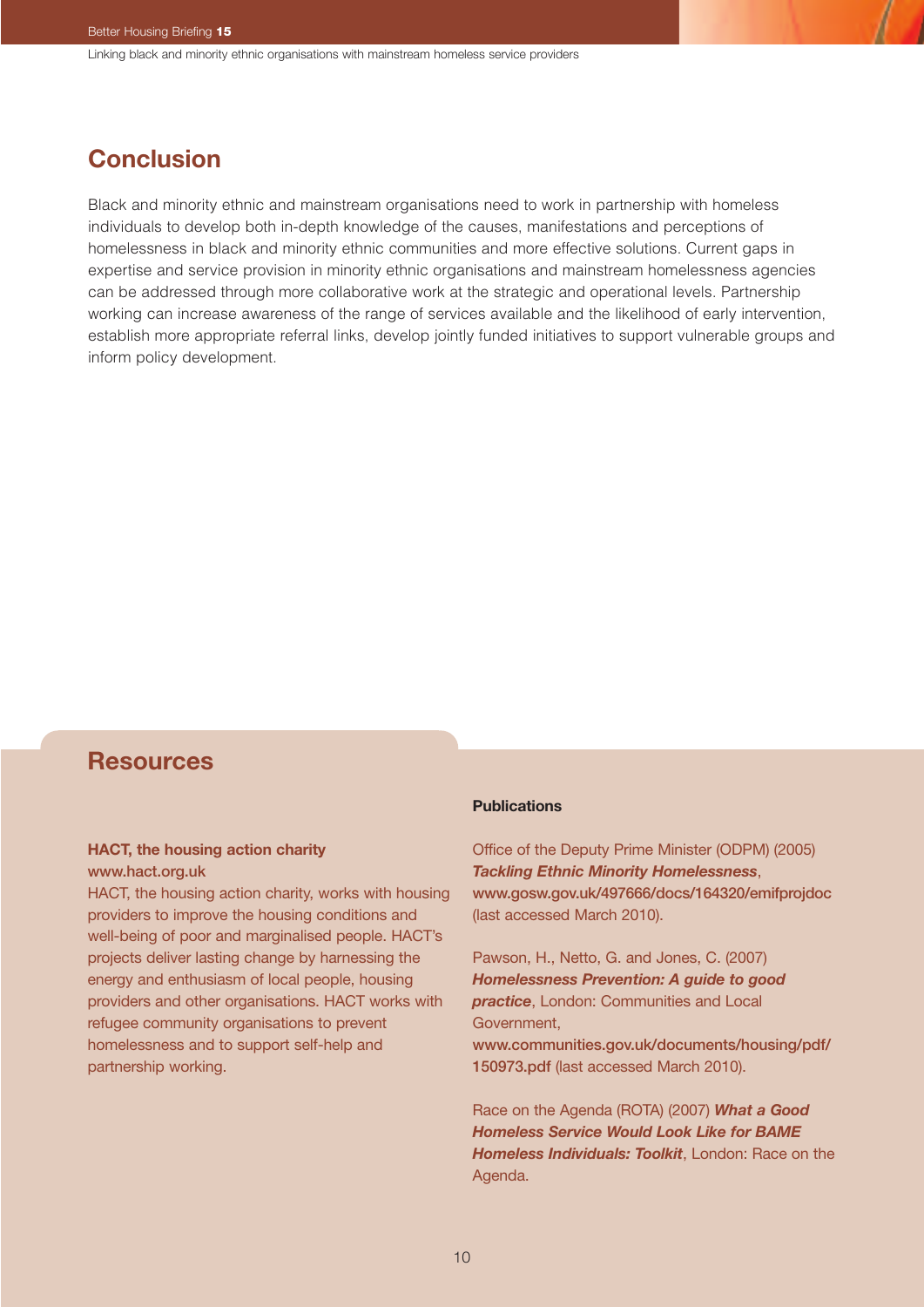## **Conclusion**

Black and minority ethnic and mainstream organisations need to work in partnership with homeless individuals to develop both in-depth knowledge of the causes, manifestations and perceptions of homelessness in black and minority ethnic communities and more effective solutions. Current gaps in expertise and service provision in minority ethnic organisations and mainstream homelessness agencies can be addressed through more collaborative work at the strategic and operational levels. Partnership working can increase awareness of the range of services available and the likelihood of early intervention, establish more appropriate referral links, develop jointly funded initiatives to support vulnerable groups and inform policy development.

## **Resources**

#### **HACT, the housing action charity** [www.hact.org.uk](http://www.hact.org.uk)

HACT, the housing action charity, works with housing providers to improve the housing conditions and well-being of poor and marginalised people. HACT's projects deliver lasting change by harnessing the energy and enthusiasm of local people, housing providers and other organisations. HACT works with refugee community organisations to prevent homelessness and to support self-help and partnership working.

#### **Publications**

Office of the Deputy Prime Minister (ODPM) (2005) *Tackling Ethnic Minority Homelessness*, [www.gosw.gov.uk/497666/docs/164320/emifprojdoc](http://www.gosw.gov.uk/497666/docs/164320/emifprojdoc) (last accessed March 2010).

Pawson, H., Netto, G. and Jones, C. (2007) *Homelessness Prevention: A guide to good practice*, London: Communities and Local Government, [www.communities.gov.uk/documents/housing/pdf/](http://www.communities.gov.uk/documents/housing/pdf/ 150973.pdf) [150973.pdf](http://www.communities.gov.uk/documents/housing/pdf/ 150973.pdf) (last accessed March 2010).

Race on the Agenda (ROTA) (2007) *What a Good Homeless Service Would Look Like for BAME Homeless Individuals: Toolkit*, London: Race on the Agenda.